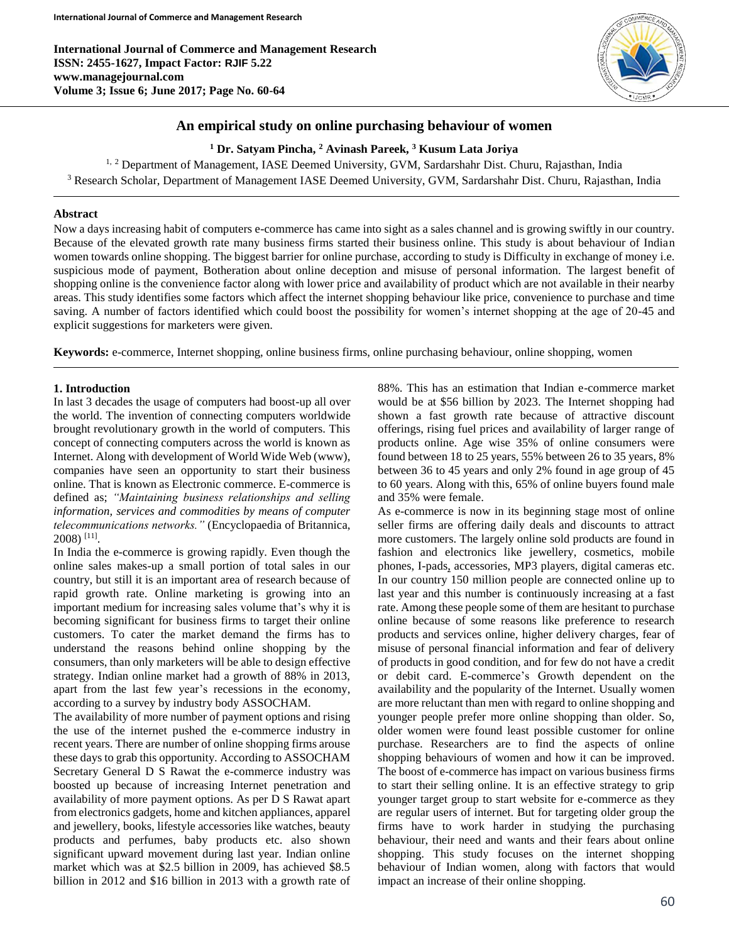**International Journal of Commerce and Management Research ISSN: 2455-1627, Impact Factor: RJIF 5.22 www.managejournal.com Volume 3; Issue 6; June 2017; Page No. 60-64**



# **An empirical study on online purchasing behaviour of women**

**<sup>1</sup> Dr. Satyam Pincha, <sup>2</sup> Avinash Pareek, <sup>3</sup> Kusum Lata Joriya**

<sup>1, 2</sup> Department of Management, IASE Deemed University, GVM, Sardarshahr Dist. Churu, Rajasthan, India <sup>3</sup> Research Scholar, Department of Management IASE Deemed University, GVM, Sardarshahr Dist. Churu, Rajasthan, India

#### **Abstract**

Now a days increasing habit of computers e-commerce has came into sight as a sales channel and is growing swiftly in our country. Because of the elevated growth rate many business firms started their business online. This study is about behaviour of Indian women towards online shopping. The biggest barrier for online purchase, according to study is Difficulty in exchange of money i.e. suspicious mode of payment, Botheration about online deception and misuse of personal information. The largest benefit of shopping online is the convenience factor along with lower price and availability of product which are not available in their nearby areas. This study identifies some factors which affect the internet shopping behaviour like price, convenience to purchase and time saving. A number of factors identified which could boost the possibility for women's internet shopping at the age of 20-45 and explicit suggestions for marketers were given.

**Keywords:** e-commerce, Internet shopping, online business firms, online purchasing behaviour, online shopping, women

#### **1. Introduction**

In last 3 decades the usage of computers had boost-up all over the world. The invention of connecting computers worldwide brought revolutionary growth in the world of computers. This concept of connecting computers across the world is known as Internet. Along with development of World Wide Web (www), companies have seen an opportunity to start their business online. That is known as Electronic commerce. E-commerce is defined as; *"Maintaining business relationships and selling information, services and commodities by means of computer telecommunications networks."* (Encyclopaedia of Britannica, 2008) [11] .

In India the e-commerce is growing rapidly. Even though the online sales makes-up a small portion of total sales in our country, but still it is an important area of research because of rapid growth rate. Online marketing is growing into an important medium for increasing sales volume that's why it is becoming significant for business firms to target their online customers. To cater the market demand the firms has to understand the reasons behind online shopping by the consumers, than only marketers will be able to design effective strategy. Indian online market had a growth of 88% in 2013, apart from the last few year's recessions in the economy, according to a survey by industry body ASSOCHAM.

The availability of more number of payment options and rising the use of the internet pushed the e-commerce industry in recent years. There are number of online shopping firms arouse these days to grab this opportunity. According to ASSOCHAM Secretary General D S Rawat the e-commerce industry was boosted up because of increasing Internet penetration and availability of more payment options. As per D S Rawat apart from electronics gadgets, home and kitchen appliances, apparel and jewellery, books, lifestyle accessories like watches, beauty products and perfumes, baby products etc. also shown significant upward movement during last year. Indian online market which was at \$2.5 billion in 2009, has achieved \$8.5 billion in 2012 and \$16 billion in 2013 with a growth rate of

88%. This has an estimation that Indian e-commerce market would be at \$56 billion by 2023. The Internet shopping had shown a fast growth rate because of attractive discount offerings, rising fuel prices and availability of larger range of products online. Age wise 35% of online consumers were found between 18 to 25 years, 55% between 26 to 35 years, 8% between 36 to 45 years and only 2% found in age group of 45 to 60 years. Along with this, 65% of online buyers found male and 35% were female.

As e-commerce is now in its beginning stage most of online seller firms are offering daily deals and discounts to attract more customers. The largely online sold products are found in fashion and electronics like jewellery, cosmetics, mobile phones, I-pads, accessories, MP3 players, digital cameras etc. In our country 150 million people are connected online up to last year and this number is continuously increasing at a fast rate. Among these people some of them are hesitant to purchase online because of some reasons like preference to research products and services online, higher delivery charges, fear of misuse of personal financial information and fear of delivery of products in good condition, and for few do not have a credit or debit card. E-commerce's Growth dependent on the availability and the popularity of the Internet. Usually women are more reluctant than men with regard to online shopping and younger people prefer more online shopping than older. So, older women were found least possible customer for online purchase. Researchers are to find the aspects of online shopping behaviours of women and how it can be improved. The boost of e-commerce has impact on various business firms to start their selling online. It is an effective strategy to grip younger target group to start website for e-commerce as they are regular users of internet. But for targeting older group the firms have to work harder in studying the purchasing behaviour, their need and wants and their fears about online shopping. This study focuses on the internet shopping behaviour of Indian women, along with factors that would impact an increase of their online shopping.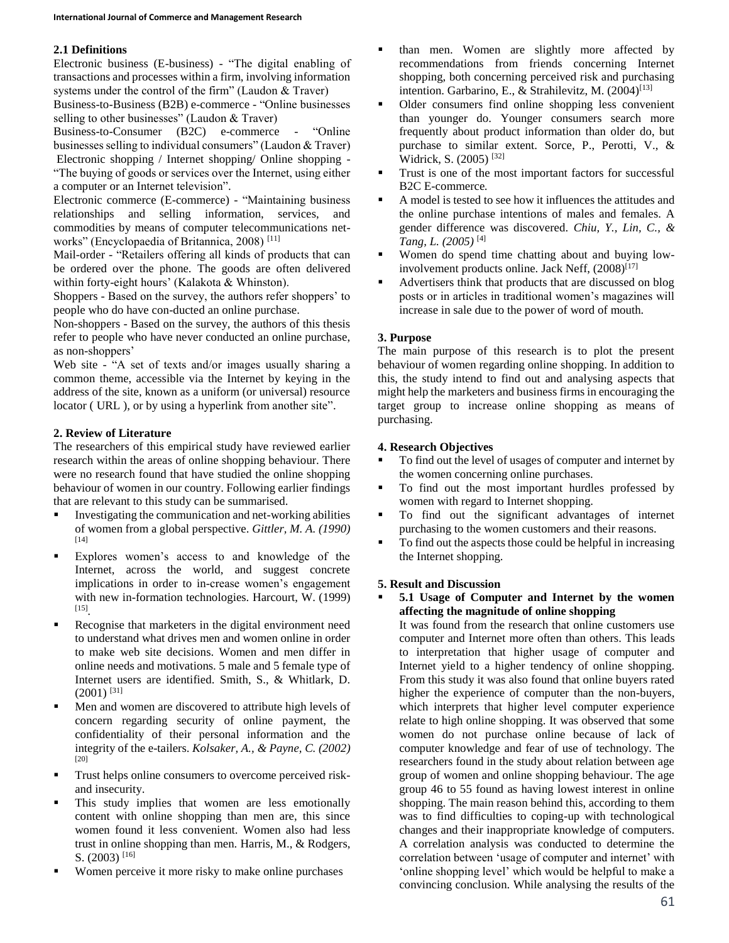# **2.1 Definitions**

Electronic business (E-business) - "The digital enabling of transactions and processes within a firm, involving information systems under the control of the firm" (Laudon & Traver)

Business-to-Business (B2B) e-commerce - "Online businesses selling to other businesses" (Laudon & Traver)

Business-to-Consumer (B2C) e-commerce - "Online businesses selling to individual consumers" (Laudon & Traver) Electronic shopping / Internet shopping/ Online shopping - "The buying of goods or services over the Internet, using either a computer or an Internet television".

Electronic commerce (E-commerce) - "Maintaining business relationships and selling information, services, and commodities by means of computer telecommunications networks" (Encyclopaedia of Britannica, 2008) [11]

Mail-order - "Retailers offering all kinds of products that can be ordered over the phone. The goods are often delivered within forty-eight hours' (Kalakota & Whinston).

Shoppers - Based on the survey, the authors refer shoppers' to people who do have con-ducted an online purchase.

Non-shoppers - Based on the survey, the authors of this thesis refer to people who have never conducted an online purchase, as non-shoppers'

Web site - "A set of texts and/or images usually sharing a common theme, accessible via the Internet by keying in the address of the site, known as a uniform (or universal) resource locator ( URL ), or by using a hyperlink from another site".

## **2. Review of Literature**

The researchers of this empirical study have reviewed earlier research within the areas of online shopping behaviour. There were no research found that have studied the online shopping behaviour of women in our country. Following earlier findings that are relevant to this study can be summarised.

- Investigating the communication and net-working abilities of women from a global perspective. *Gittler, M. A. (1990)* [14]
- Explores women's access to and knowledge of the Internet, across the world, and suggest concrete implications in order to in-crease women's engagement with new in-formation technologies. Harcourt, W. (1999) [15] *.*
- Recognise that marketers in the digital environment need to understand what drives men and women online in order to make web site decisions. Women and men differ in online needs and motivations. 5 male and 5 female type of Internet users are identified. Smith, S., & Whitlark, D. (2001) [31]
- Men and women are discovered to attribute high levels of concern regarding security of online payment, the confidentiality of their personal information and the integrity of the e-tailers. *Kolsaker, A., & Payne, C. (2002)* [20]
- **Trust helps online consumers to overcome perceived risk**and insecurity.
- This study implies that women are less emotionally content with online shopping than men are, this since women found it less convenient. Women also had less trust in online shopping than men. Harris, M., & Rodgers, S.  $(2003)$ <sup>[16]</sup>
- Women perceive it more risky to make online purchases
- than men. Women are slightly more affected by recommendations from friends concerning Internet shopping, both concerning perceived risk and purchasing intention. Garbarino, E., & Strahilevitz, M.  $(2004)^{[13]}$
- Older consumers find online shopping less convenient than younger do. Younger consumers search more frequently about product information than older do, but purchase to similar extent. Sorce, P., Perotti, V., & Widrick, S. (2005) [32]
- **Trust is one of the most important factors for successful** B2C E-commerce*.*
- A model is tested to see how it influences the attitudes and the online purchase intentions of males and females. A gender difference was discovered. *Chiu, Y., Lin, C., & Tang, L. (2005)* [4]
- Women do spend time chatting about and buying lowinvolvement products online. Jack Neff,  $(2008)^{[17]}$
- Advertisers think that products that are discussed on blog posts or in articles in traditional women's magazines will increase in sale due to the power of word of mouth.

## **3. Purpose**

The main purpose of this research is to plot the present behaviour of women regarding online shopping. In addition to this, the study intend to find out and analysing aspects that might help the marketers and business firms in encouraging the target group to increase online shopping as means of purchasing.

## **4. Research Objectives**

- To find out the level of usages of computer and internet by the women concerning online purchases.
- To find out the most important hurdles professed by women with regard to Internet shopping.
- $\blacksquare$  To find out the significant advantages of internet purchasing to the women customers and their reasons.
- To find out the aspects those could be helpful in increasing the Internet shopping.

## **5. Result and Discussion**

 **5.1 Usage of Computer and Internet by the women affecting the magnitude of online shopping**

It was found from the research that online customers use computer and Internet more often than others. This leads to interpretation that higher usage of computer and Internet yield to a higher tendency of online shopping. From this study it was also found that online buyers rated higher the experience of computer than the non-buyers, which interprets that higher level computer experience relate to high online shopping. It was observed that some women do not purchase online because of lack of computer knowledge and fear of use of technology. The researchers found in the study about relation between age group of women and online shopping behaviour. The age group 46 to 55 found as having lowest interest in online shopping. The main reason behind this, according to them was to find difficulties to coping-up with technological changes and their inappropriate knowledge of computers. A correlation analysis was conducted to determine the correlation between 'usage of computer and internet' with 'online shopping level' which would be helpful to make a convincing conclusion. While analysing the results of the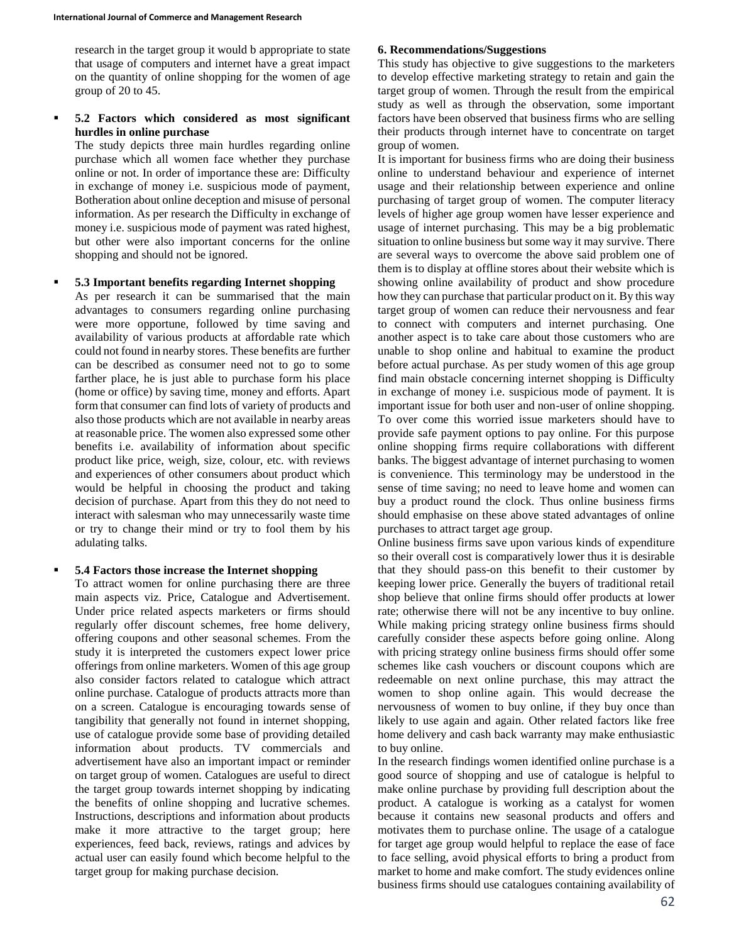research in the target group it would b appropriate to state that usage of computers and internet have a great impact on the quantity of online shopping for the women of age group of 20 to 45.

#### **5.2 Factors which considered as most significant hurdles in online purchase**

The study depicts three main hurdles regarding online purchase which all women face whether they purchase online or not. In order of importance these are: Difficulty in exchange of money i.e. suspicious mode of payment, Botheration about online deception and misuse of personal information. As per research the Difficulty in exchange of money i.e. suspicious mode of payment was rated highest, but other were also important concerns for the online shopping and should not be ignored.

#### **5.3 Important benefits regarding Internet shopping**

As per research it can be summarised that the main advantages to consumers regarding online purchasing were more opportune, followed by time saving and availability of various products at affordable rate which could not found in nearby stores. These benefits are further can be described as consumer need not to go to some farther place, he is just able to purchase form his place (home or office) by saving time, money and efforts. Apart form that consumer can find lots of variety of products and also those products which are not available in nearby areas at reasonable price. The women also expressed some other benefits i.e. availability of information about specific product like price, weigh, size, colour, etc. with reviews and experiences of other consumers about product which would be helpful in choosing the product and taking decision of purchase. Apart from this they do not need to interact with salesman who may unnecessarily waste time or try to change their mind or try to fool them by his adulating talks.

## **5.4 Factors those increase the Internet shopping**

To attract women for online purchasing there are three main aspects viz. Price, Catalogue and Advertisement. Under price related aspects marketers or firms should regularly offer discount schemes, free home delivery, offering coupons and other seasonal schemes. From the study it is interpreted the customers expect lower price offerings from online marketers. Women of this age group also consider factors related to catalogue which attract online purchase. Catalogue of products attracts more than on a screen. Catalogue is encouraging towards sense of tangibility that generally not found in internet shopping, use of catalogue provide some base of providing detailed information about products. TV commercials and advertisement have also an important impact or reminder on target group of women. Catalogues are useful to direct the target group towards internet shopping by indicating the benefits of online shopping and lucrative schemes. Instructions, descriptions and information about products make it more attractive to the target group; here experiences, feed back, reviews, ratings and advices by actual user can easily found which become helpful to the target group for making purchase decision.

#### **6. Recommendations/Suggestions**

This study has objective to give suggestions to the marketers to develop effective marketing strategy to retain and gain the target group of women. Through the result from the empirical study as well as through the observation, some important factors have been observed that business firms who are selling their products through internet have to concentrate on target group of women.

It is important for business firms who are doing their business online to understand behaviour and experience of internet usage and their relationship between experience and online purchasing of target group of women. The computer literacy levels of higher age group women have lesser experience and usage of internet purchasing. This may be a big problematic situation to online business but some way it may survive. There are several ways to overcome the above said problem one of them is to display at offline stores about their website which is showing online availability of product and show procedure how they can purchase that particular product on it. By this way target group of women can reduce their nervousness and fear to connect with computers and internet purchasing. One another aspect is to take care about those customers who are unable to shop online and habitual to examine the product before actual purchase. As per study women of this age group find main obstacle concerning internet shopping is Difficulty in exchange of money i.e. suspicious mode of payment. It is important issue for both user and non-user of online shopping. To over come this worried issue marketers should have to provide safe payment options to pay online. For this purpose online shopping firms require collaborations with different banks. The biggest advantage of internet purchasing to women is convenience. This terminology may be understood in the sense of time saving; no need to leave home and women can buy a product round the clock. Thus online business firms should emphasise on these above stated advantages of online purchases to attract target age group.

Online business firms save upon various kinds of expenditure so their overall cost is comparatively lower thus it is desirable that they should pass-on this benefit to their customer by keeping lower price. Generally the buyers of traditional retail shop believe that online firms should offer products at lower rate; otherwise there will not be any incentive to buy online. While making pricing strategy online business firms should carefully consider these aspects before going online. Along with pricing strategy online business firms should offer some schemes like cash vouchers or discount coupons which are redeemable on next online purchase, this may attract the women to shop online again. This would decrease the nervousness of women to buy online, if they buy once than likely to use again and again. Other related factors like free home delivery and cash back warranty may make enthusiastic to buy online.

In the research findings women identified online purchase is a good source of shopping and use of catalogue is helpful to make online purchase by providing full description about the product. A catalogue is working as a catalyst for women because it contains new seasonal products and offers and motivates them to purchase online. The usage of a catalogue for target age group would helpful to replace the ease of face to face selling, avoid physical efforts to bring a product from market to home and make comfort. The study evidences online business firms should use catalogues containing availability of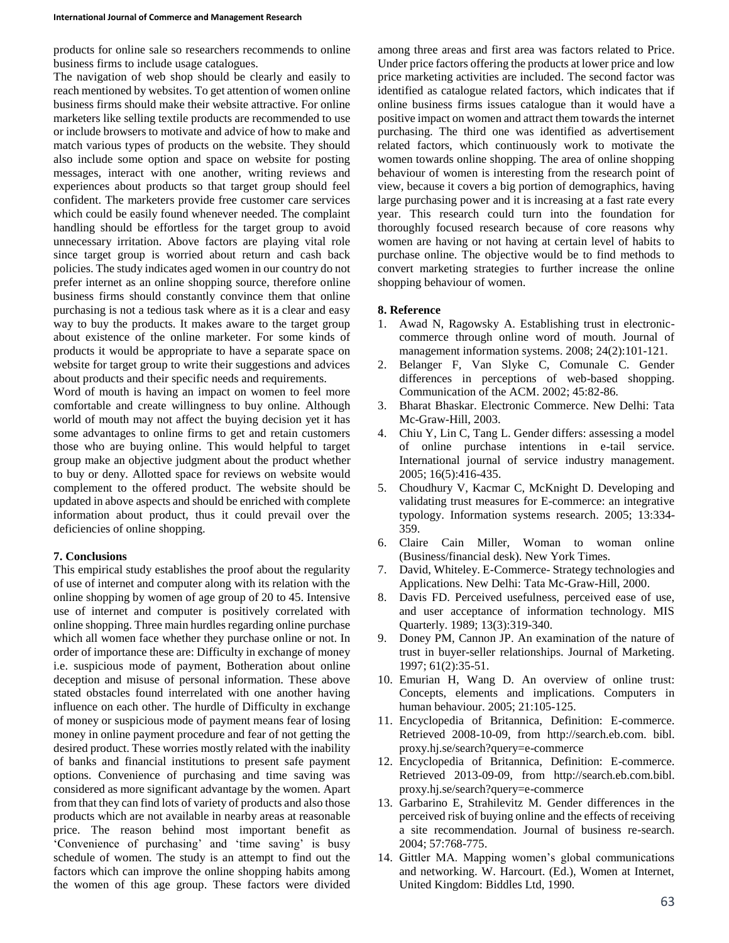products for online sale so researchers recommends to online business firms to include usage catalogues.

The navigation of web shop should be clearly and easily to reach mentioned by websites. To get attention of women online business firms should make their website attractive. For online marketers like selling textile products are recommended to use or include browsers to motivate and advice of how to make and match various types of products on the website. They should also include some option and space on website for posting messages, interact with one another, writing reviews and experiences about products so that target group should feel confident. The marketers provide free customer care services which could be easily found whenever needed. The complaint handling should be effortless for the target group to avoid unnecessary irritation. Above factors are playing vital role since target group is worried about return and cash back policies. The study indicates aged women in our country do not prefer internet as an online shopping source, therefore online business firms should constantly convince them that online purchasing is not a tedious task where as it is a clear and easy way to buy the products. It makes aware to the target group about existence of the online marketer. For some kinds of products it would be appropriate to have a separate space on website for target group to write their suggestions and advices about products and their specific needs and requirements.

Word of mouth is having an impact on women to feel more comfortable and create willingness to buy online. Although world of mouth may not affect the buying decision yet it has some advantages to online firms to get and retain customers those who are buying online. This would helpful to target group make an objective judgment about the product whether to buy or deny. Allotted space for reviews on website would complement to the offered product. The website should be updated in above aspects and should be enriched with complete information about product, thus it could prevail over the deficiencies of online shopping.

## **7. Conclusions**

This empirical study establishes the proof about the regularity of use of internet and computer along with its relation with the online shopping by women of age group of 20 to 45. Intensive use of internet and computer is positively correlated with online shopping. Three main hurdles regarding online purchase which all women face whether they purchase online or not. In order of importance these are: Difficulty in exchange of money i.e. suspicious mode of payment, Botheration about online deception and misuse of personal information. These above stated obstacles found interrelated with one another having influence on each other. The hurdle of Difficulty in exchange of money or suspicious mode of payment means fear of losing money in online payment procedure and fear of not getting the desired product. These worries mostly related with the inability of banks and financial institutions to present safe payment options. Convenience of purchasing and time saving was considered as more significant advantage by the women. Apart from that they can find lots of variety of products and also those products which are not available in nearby areas at reasonable price. The reason behind most important benefit as 'Convenience of purchasing' and 'time saving' is busy schedule of women. The study is an attempt to find out the factors which can improve the online shopping habits among the women of this age group. These factors were divided

among three areas and first area was factors related to Price. Under price factors offering the products at lower price and low price marketing activities are included. The second factor was identified as catalogue related factors, which indicates that if online business firms issues catalogue than it would have a positive impact on women and attract them towards the internet purchasing. The third one was identified as advertisement related factors, which continuously work to motivate the women towards online shopping. The area of online shopping behaviour of women is interesting from the research point of view, because it covers a big portion of demographics, having large purchasing power and it is increasing at a fast rate every year. This research could turn into the foundation for thoroughly focused research because of core reasons why women are having or not having at certain level of habits to purchase online. The objective would be to find methods to convert marketing strategies to further increase the online shopping behaviour of women.

## **8. Reference**

- 1. Awad N, Ragowsky A. Establishing trust in electroniccommerce through online word of mouth. Journal of management information systems. 2008; 24(2):101-121.
- 2. Belanger F, Van Slyke C, Comunale C. Gender differences in perceptions of web-based shopping. Communication of the ACM. 2002; 45:82-86.
- 3. Bharat Bhaskar. Electronic Commerce. New Delhi: Tata Mc-Graw-Hill, 2003.
- 4. Chiu Y, Lin C, Tang L. Gender differs: assessing a model of online purchase intentions in e-tail service. International journal of service industry management. 2005; 16(5):416-435.
- 5. Choudhury V, Kacmar C, McKnight D. Developing and validating trust measures for E-commerce: an integrative typology. Information systems research. 2005; 13:334- 359.
- 6. Claire Cain Miller, Woman to woman online (Business/financial desk). New York Times.
- 7. David, Whiteley. E-Commerce- Strategy technologies and Applications. New Delhi: Tata Mc-Graw-Hill, 2000.
- 8. Davis FD. Perceived usefulness, perceived ease of use, and user acceptance of information technology. MIS Quarterly. 1989; 13(3):319-340.
- 9. Doney PM, Cannon JP. An examination of the nature of trust in buyer-seller relationships. Journal of Marketing. 1997; 61(2):35-51.
- 10. Emurian H, Wang D. An overview of online trust: Concepts, elements and implications. Computers in human behaviour. 2005; 21:105-125.
- 11. Encyclopedia of Britannica, Definition: E-commerce. Retrieved 2008-10-09, from http://search.eb.com. bibl. proxy.hj.se/search?query=e-commerce
- 12. Encyclopedia of Britannica, Definition: E-commerce. Retrieved 2013-09-09, from http://search.eb.com.bibl. proxy.hj.se/search?query=e-commerce
- 13. Garbarino E, Strahilevitz M. Gender differences in the perceived risk of buying online and the effects of receiving a site recommendation. Journal of business re-search. 2004; 57:768-775.
- 14. Gittler MA. Mapping women's global communications and networking. W. Harcourt. (Ed.), Women at Internet, United Kingdom: Biddles Ltd, 1990.